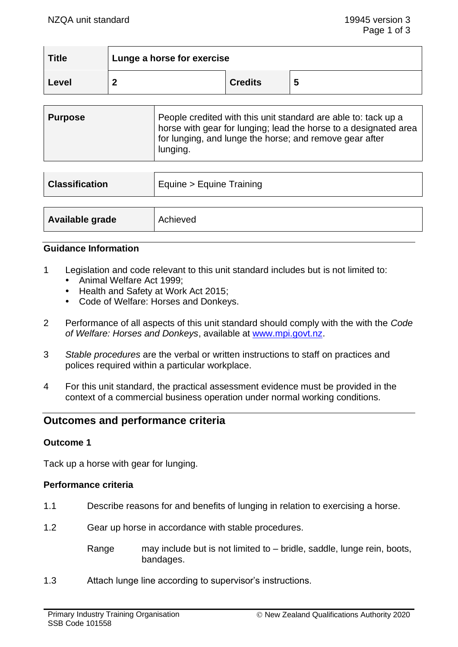| <b>Title</b> | Lunge a horse for exercise |                |    |
|--------------|----------------------------|----------------|----|
| Level        |                            | <b>Credits</b> | IJ |

| People credited with this unit standard are able to: tack up a<br><b>Purpose</b><br>horse with gear for lunging; lead the horse to a designated area<br>for lunging, and lunge the horse; and remove gear after<br>lunging. |  |
|-----------------------------------------------------------------------------------------------------------------------------------------------------------------------------------------------------------------------------|--|
|-----------------------------------------------------------------------------------------------------------------------------------------------------------------------------------------------------------------------------|--|

| <b>Classification</b> | Equine > Equine Training |  |
|-----------------------|--------------------------|--|
|                       |                          |  |
| Available grade       | Achieved                 |  |

# **Guidance Information**

- 1 Legislation and code relevant to this unit standard includes but is not limited to:
	- Animal Welfare Act 1999:
	- Health and Safety at Work Act 2015;
	- Code of Welfare: Horses and Donkeys.
- 2 Performance of all aspects of this unit standard should comply with the with the *Code of Welfare: Horses and Donkeys*, available at [www.mpi.govt.nz.](http://www.mpi.govt.nz/)
- 3 *Stable procedures* are the verbal or written instructions to staff on practices and polices required within a particular workplace.
- 4 For this unit standard, the practical assessment evidence must be provided in the context of a commercial business operation under normal working conditions.

# **Outcomes and performance criteria**

### **Outcome 1**

Tack up a horse with gear for lunging.

### **Performance criteria**

- 1.1 Describe reasons for and benefits of lunging in relation to exercising a horse.
- 1.2 Gear up horse in accordance with stable procedures.

Range may include but is not limited to – bridle, saddle, lunge rein, boots, bandages.

1.3 Attach lunge line according to supervisor's instructions.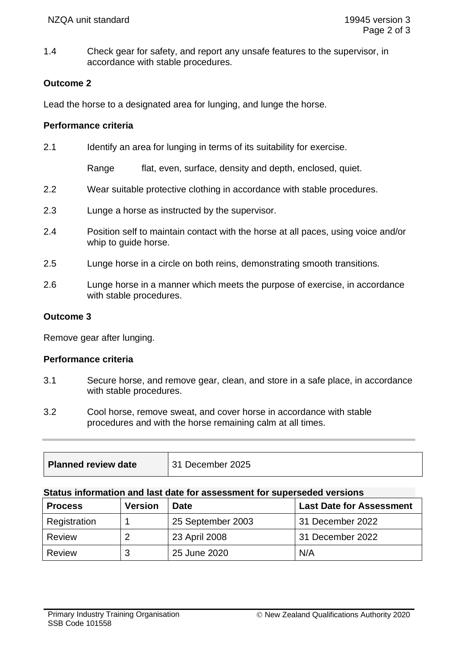1.4 Check gear for safety, and report any unsafe features to the supervisor, in accordance with stable procedures.

## **Outcome 2**

Lead the horse to a designated area for lunging, and lunge the horse.

#### **Performance criteria**

2.1 Identify an area for lunging in terms of its suitability for exercise.

Range flat, even, surface, density and depth, enclosed, quiet.

- 2.2 Wear suitable protective clothing in accordance with stable procedures.
- 2.3 Lunge a horse as instructed by the supervisor.
- 2.4 Position self to maintain contact with the horse at all paces, using voice and/or whip to guide horse.
- 2.5 Lunge horse in a circle on both reins, demonstrating smooth transitions.
- 2.6 Lunge horse in a manner which meets the purpose of exercise, in accordance with stable procedures.

### **Outcome 3**

Remove gear after lunging.

### **Performance criteria**

- 3.1 Secure horse, and remove gear, clean, and store in a safe place, in accordance with stable procedures.
- 3.2 Cool horse, remove sweat, and cover horse in accordance with stable procedures and with the horse remaining calm at all times.

| Planned review date | 31 December 2025 |
|---------------------|------------------|
|                     |                  |

#### **Status information and last date for assessment for superseded versions**

| <b>Process</b> | <b>Version</b> | <b>Date</b>       | <b>Last Date for Assessment</b> |
|----------------|----------------|-------------------|---------------------------------|
| Registration   |                | 25 September 2003 | 31 December 2022                |
| Review         |                | 23 April 2008     | 31 December 2022                |
| <b>Review</b>  | ≏<br>s.        | 25 June 2020      | N/A                             |